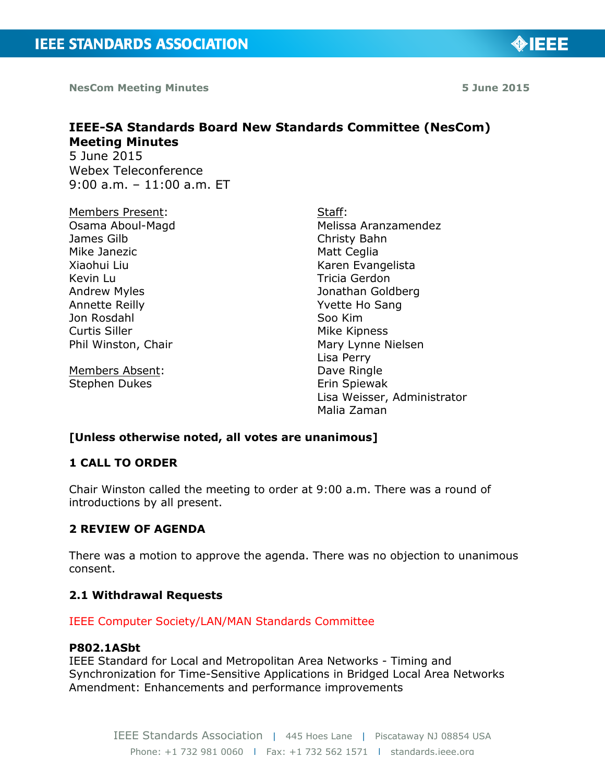**NesCom Meeting Minutes 5 June 2015**

◈IEEE

# **IEEE-SA Standards Board New Standards Committee (NesCom) Meeting Minutes** 5 June 2015

Webex Teleconference 9:00 a.m. – 11:00 a.m. ET

Members Present: Osama Aboul-Magd James Gilb Mike Janezic Xiaohui Liu Kevin Lu Andrew Myles Annette Reilly Jon Rosdahl Curtis Siller Phil Winston, Chair

Members Absent: Stephen Dukes

Staff: Melissa Aranzamendez Christy Bahn Matt Ceglia Karen Evangelista Tricia Gerdon Jonathan Goldberg Yvette Ho Sang Soo Kim Mike Kipness Mary Lynne Nielsen Lisa Perry Dave Ringle Erin Spiewak Lisa Weisser, Administrator Malia Zaman

# **[Unless otherwise noted, all votes are unanimous]**

### **1 CALL TO ORDER**

Chair Winston called the meeting to order at 9:00 a.m. There was a round of introductions by all present.

# **2 REVIEW OF AGENDA**

There was a motion to approve the agenda. There was no objection to unanimous consent.

#### **2.1 Withdrawal Requests**

IEEE Computer Society/LAN/MAN Standards Committee

# **P802.1ASbt**

IEEE Standard for Local and Metropolitan Area Networks - Timing and Synchronization for Time-Sensitive Applications in Bridged Local Area Networks Amendment: Enhancements and performance improvements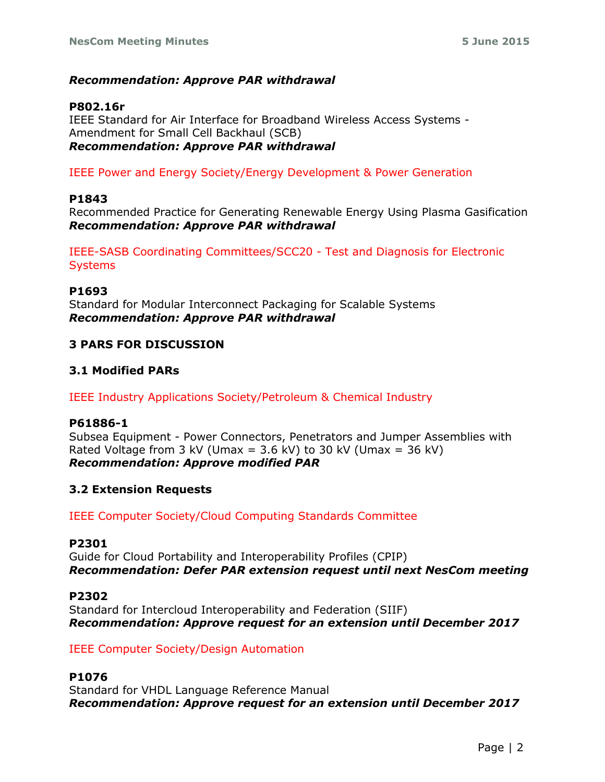# *Recommendation: Approve PAR withdrawal*

### **P802.16r**

IEEE Standard for Air Interface for Broadband Wireless Access Systems - Amendment for Small Cell Backhaul (SCB) *Recommendation: Approve PAR withdrawal*

IEEE Power and Energy Society/Energy Development & Power Generation

#### **P1843**

Recommended Practice for Generating Renewable Energy Using Plasma Gasification *Recommendation: Approve PAR withdrawal*

IEEE-SASB Coordinating Committees/SCC20 - Test and Diagnosis for Electronic **Systems** 

#### **P1693**

Standard for Modular Interconnect Packaging for Scalable Systems *Recommendation: Approve PAR withdrawal*

# **3 PARS FOR DISCUSSION**

# **3.1 Modified PARs**

IEEE Industry Applications Society/Petroleum & Chemical Industry

#### **P61886-1**

Subsea Equipment - Power Connectors, Penetrators and Jumper Assemblies with Rated Voltage from 3 kV (Umax =  $3.6$  kV) to 30 kV (Umax =  $36$  kV) *Recommendation: Approve modified PAR*

#### **3.2 Extension Requests**

IEEE Computer Society/Cloud Computing Standards Committee

#### **P2301**

Guide for Cloud Portability and Interoperability Profiles (CPIP) *Recommendation: Defer PAR extension request until next NesCom meeting*

#### **P2302**

Standard for Intercloud Interoperability and Federation (SIIF) *Recommendation: Approve request for an extension until December 2017*

#### IEEE Computer Society/Design Automation

#### **P1076**

Standard for VHDL Language Reference Manual *Recommendation: Approve request for an extension until December 2017*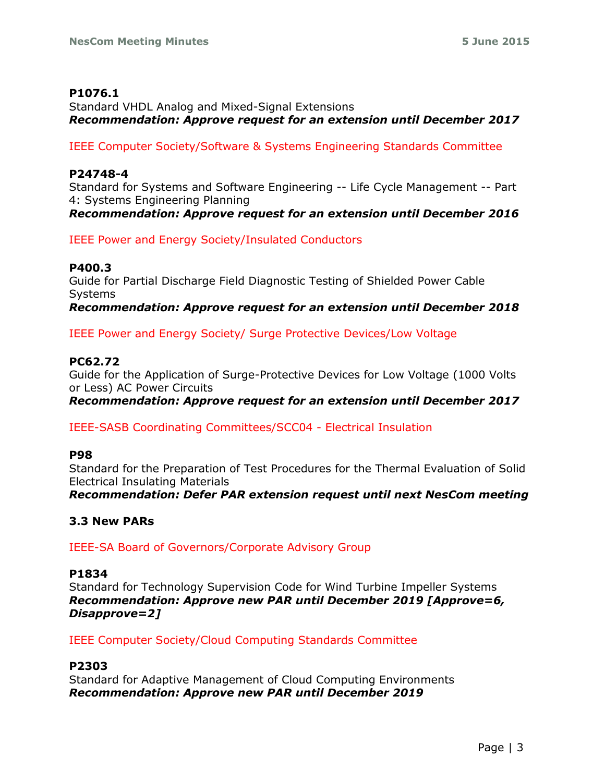# **P1076.1**

Standard VHDL Analog and Mixed-Signal Extensions *Recommendation: Approve request for an extension until December 2017*

IEEE Computer Society/Software & Systems Engineering Standards Committee

# **P24748-4**

Standard for Systems and Software Engineering -- Life Cycle Management -- Part 4: Systems Engineering Planning *Recommendation: Approve request for an extension until December 2016*

IEEE Power and Energy Society/Insulated Conductors

# **P400.3**

Guide for Partial Discharge Field Diagnostic Testing of Shielded Power Cable Systems *Recommendation: Approve request for an extension until December 2018*

IEEE Power and Energy Society/ Surge Protective Devices/Low Voltage

# **PC62.72**

Guide for the Application of Surge-Protective Devices for Low Voltage (1000 Volts or Less) AC Power Circuits

*Recommendation: Approve request for an extension until December 2017*

IEEE-SASB Coordinating Committees/SCC04 - Electrical Insulation

#### **P98**

Standard for the Preparation of Test Procedures for the Thermal Evaluation of Solid Electrical Insulating Materials

*Recommendation: Defer PAR extension request until next NesCom meeting*

# **3.3 New PARs**

IEEE-SA Board of Governors/Corporate Advisory Group

#### **P1834**

Standard for Technology Supervision Code for Wind Turbine Impeller Systems *Recommendation: Approve new PAR until December 2019 [Approve=6, Disapprove=2]*

IEEE Computer Society/Cloud Computing Standards Committee

#### **P2303**

Standard for Adaptive Management of Cloud Computing Environments *Recommendation: Approve new PAR until December 2019*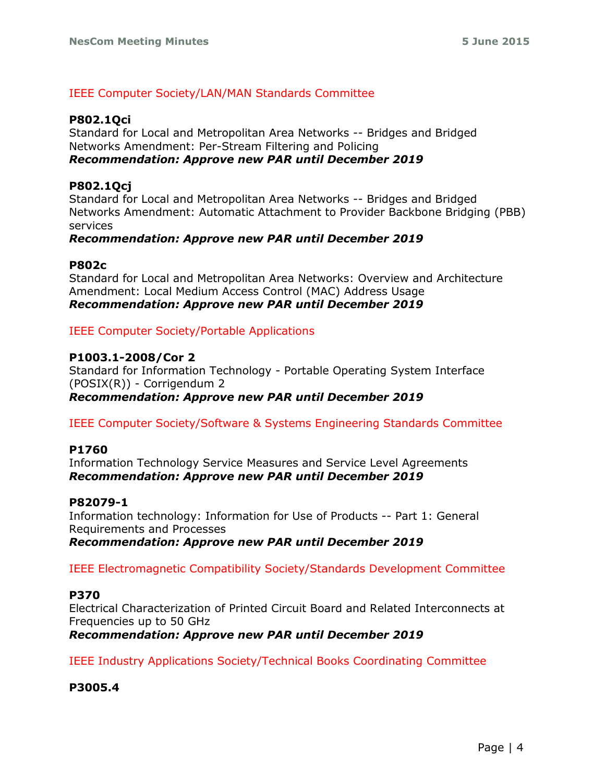# IEEE Computer Society/LAN/MAN Standards Committee

### **P802.1Qci**

Standard for Local and Metropolitan Area Networks -- Bridges and Bridged Networks Amendment: Per-Stream Filtering and Policing *Recommendation: Approve new PAR until December 2019*

# **P802.1Qcj**

Standard for Local and Metropolitan Area Networks -- Bridges and Bridged Networks Amendment: Automatic Attachment to Provider Backbone Bridging (PBB) services

#### *Recommendation: Approve new PAR until December 2019*

#### **P802c**

Standard for Local and Metropolitan Area Networks: Overview and Architecture Amendment: Local Medium Access Control (MAC) Address Usage *Recommendation: Approve new PAR until December 2019*

IEEE Computer Society/Portable Applications

#### **P1003.1-2008/Cor 2**

Standard for Information Technology - Portable Operating System Interface (POSIX(R)) - Corrigendum 2 *Recommendation: Approve new PAR until December 2019*

IEEE Computer Society/Software & Systems Engineering Standards Committee

#### **P1760**

Information Technology Service Measures and Service Level Agreements *Recommendation: Approve new PAR until December 2019*

#### **P82079-1**

Information technology: Information for Use of Products -- Part 1: General Requirements and Processes *Recommendation: Approve new PAR until December 2019*

IEEE Electromagnetic Compatibility Society/Standards Development Committee

#### **P370**

Electrical Characterization of Printed Circuit Board and Related Interconnects at Frequencies up to 50 GHz

*Recommendation: Approve new PAR until December 2019*

IEEE Industry Applications Society/Technical Books Coordinating Committee

**P3005.4**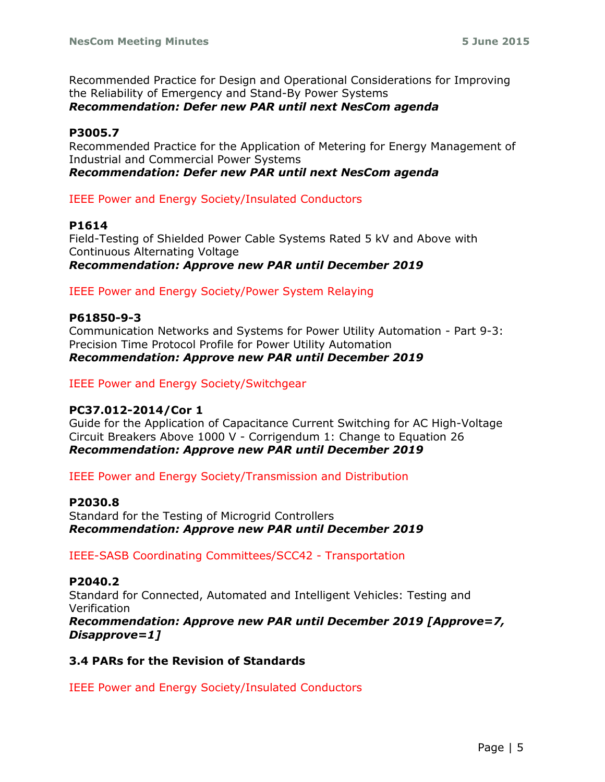Recommended Practice for Design and Operational Considerations for Improving the Reliability of Emergency and Stand-By Power Systems *Recommendation: Defer new PAR until next NesCom agenda*

# **P3005.7**

Recommended Practice for the Application of Metering for Energy Management of Industrial and Commercial Power Systems *Recommendation: Defer new PAR until next NesCom agenda*

IEEE Power and Energy Society/Insulated Conductors

#### **P1614**

Field-Testing of Shielded Power Cable Systems Rated 5 kV and Above with Continuous Alternating Voltage *Recommendation: Approve new PAR until December 2019*

IEEE Power and Energy Society/Power System Relaying

#### **P61850-9-3**

Communication Networks and Systems for Power Utility Automation - Part 9-3: Precision Time Protocol Profile for Power Utility Automation *Recommendation: Approve new PAR until December 2019*

IEEE Power and Energy Society/Switchgear

#### **PC37.012-2014/Cor 1**

Guide for the Application of Capacitance Current Switching for AC High-Voltage Circuit Breakers Above 1000 V - Corrigendum 1: Change to Equation 26 *Recommendation: Approve new PAR until December 2019*

IEEE Power and Energy Society/Transmission and Distribution

#### **P2030.8**

Standard for the Testing of Microgrid Controllers *Recommendation: Approve new PAR until December 2019*

IEEE-SASB Coordinating Committees/SCC42 - Transportation

# **P2040.2**

Standard for Connected, Automated and Intelligent Vehicles: Testing and Verification *Recommendation: Approve new PAR until December 2019 [Approve=7, Disapprove=1]*

#### **3.4 PARs for the Revision of Standards**

IEEE Power and Energy Society/Insulated Conductors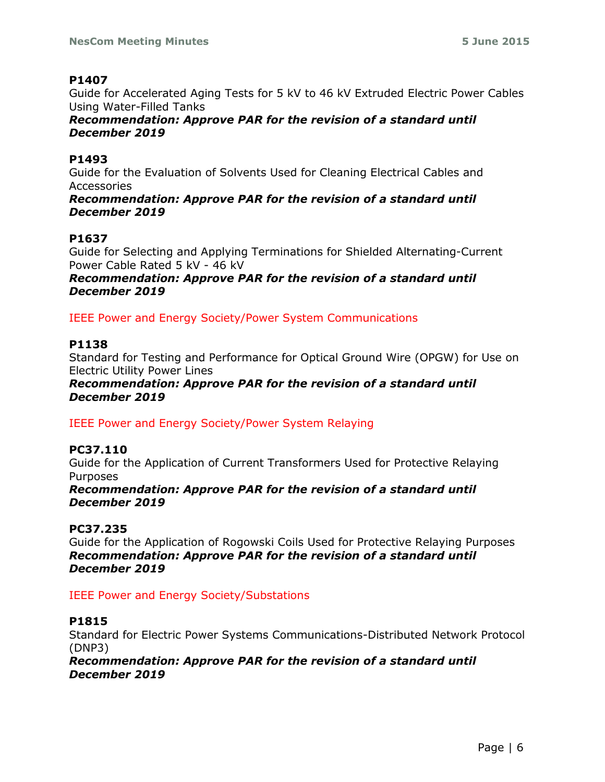# **P1407**

Guide for Accelerated Aging Tests for 5 kV to 46 kV Extruded Electric Power Cables Using Water-Filled Tanks

*Recommendation: Approve PAR for the revision of a standard until December 2019*

# **P1493**

Guide for the Evaluation of Solvents Used for Cleaning Electrical Cables and Accessories

*Recommendation: Approve PAR for the revision of a standard until December 2019*

# **P1637**

Guide for Selecting and Applying Terminations for Shielded Alternating-Current Power Cable Rated 5 kV - 46 kV

*Recommendation: Approve PAR for the revision of a standard until December 2019*

IEEE Power and Energy Society/Power System Communications

# **P1138**

Standard for Testing and Performance for Optical Ground Wire (OPGW) for Use on Electric Utility Power Lines

*Recommendation: Approve PAR for the revision of a standard until December 2019*

IEEE Power and Energy Society/Power System Relaying

# **PC37.110**

Guide for the Application of Current Transformers Used for Protective Relaying Purposes

*Recommendation: Approve PAR for the revision of a standard until December 2019*

#### **PC37.235**

Guide for the Application of Rogowski Coils Used for Protective Relaying Purposes *Recommendation: Approve PAR for the revision of a standard until December 2019*

#### IEEE Power and Energy Society/Substations

#### **P1815**

Standard for Electric Power Systems Communications-Distributed Network Protocol (DNP3)

*Recommendation: Approve PAR for the revision of a standard until December 2019*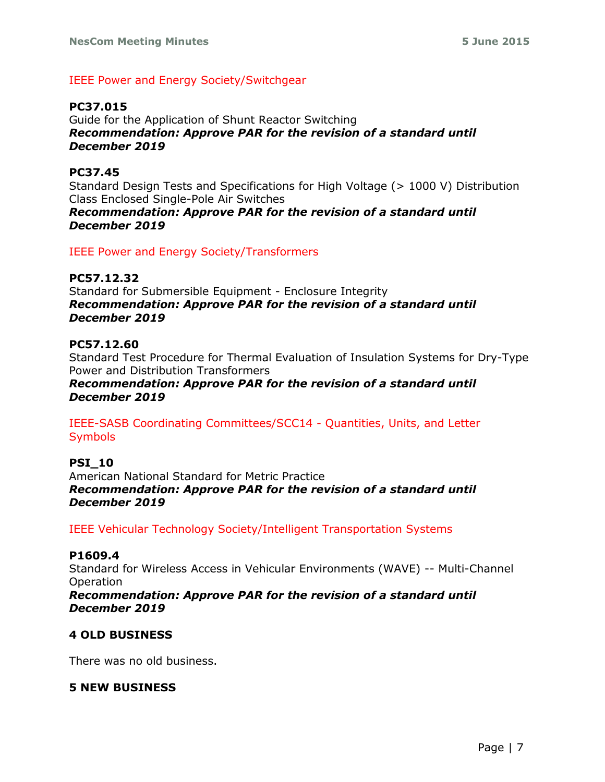# IEEE Power and Energy Society/Switchgear

# **PC37.015**

Guide for the Application of Shunt Reactor Switching *Recommendation: Approve PAR for the revision of a standard until December 2019*

# **PC37.45**

Standard Design Tests and Specifications for High Voltage (> 1000 V) Distribution Class Enclosed Single-Pole Air Switches

*Recommendation: Approve PAR for the revision of a standard until December 2019*

IEEE Power and Energy Society/Transformers

# **PC57.12.32**

Standard for Submersible Equipment - Enclosure Integrity *Recommendation: Approve PAR for the revision of a standard until December 2019*

# **PC57.12.60**

Standard Test Procedure for Thermal Evaluation of Insulation Systems for Dry-Type Power and Distribution Transformers

*Recommendation: Approve PAR for the revision of a standard until December 2019*

IEEE-SASB Coordinating Committees/SCC14 - Quantities, Units, and Letter **Symbols** 

# **PSI\_10**

American National Standard for Metric Practice *Recommendation: Approve PAR for the revision of a standard until December 2019*

IEEE Vehicular Technology Society/Intelligent Transportation Systems

#### **P1609.4**

Standard for Wireless Access in Vehicular Environments (WAVE) -- Multi-Channel Operation

*Recommendation: Approve PAR for the revision of a standard until December 2019*

#### **4 OLD BUSINESS**

There was no old business.

#### **5 NEW BUSINESS**